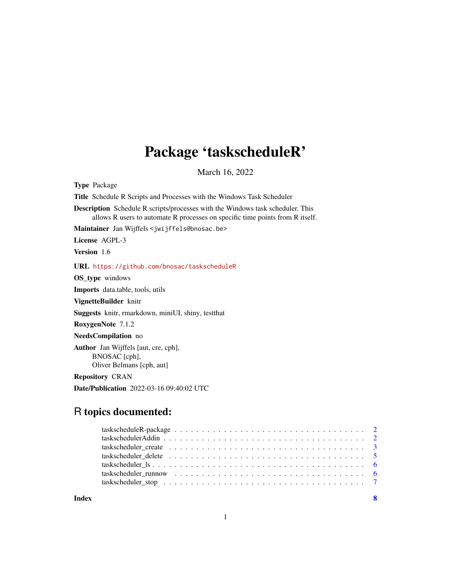## Package 'taskscheduleR'

March 16, 2022

<span id="page-0-0"></span>Type Package

Title Schedule R Scripts and Processes with the Windows Task Scheduler

Description Schedule R scripts/processes with the Windows task scheduler. This allows R users to automate R processes on specific time points from R itself.

Maintainer Jan Wijffels <jwijffels@bnosac.be>

License AGPL-3

Version 1.6

URL <https://github.com/bnosac/taskscheduleR>

OS\_type windows

Imports data.table, tools, utils

VignetteBuilder knitr

Suggests knitr, rmarkdown, miniUI, shiny, testthat

RoxygenNote 7.1.2

NeedsCompilation no

Author Jan Wijffels [aut, cre, cph], BNOSAC [cph], Oliver Belmans [cph, aut]

Repository CRAN

Date/Publication 2022-03-16 09:40:02 UTC

### R topics documented:

| taskscheduler runnow $\ldots \ldots \ldots \ldots \ldots \ldots \ldots \ldots \ldots \ldots \ldots$ |  |
|-----------------------------------------------------------------------------------------------------|--|
|                                                                                                     |  |
|                                                                                                     |  |

**Index** [8](#page-7-0) **8**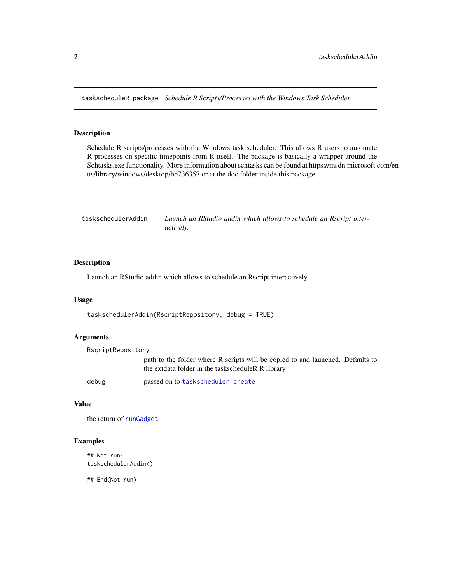<span id="page-1-0"></span>taskscheduleR-package *Schedule R Scripts/Processes with the Windows Task Scheduler*

#### Description

Schedule R scripts/processes with the Windows task scheduler. This allows R users to automate R processes on specific timepoints from R itself. The package is basically a wrapper around the Schtasks.exe functionality. More information about schtasks can be found at https://msdn.microsoft.com/enus/library/windows/desktop/bb736357 or at the doc folder inside this package.

| taskschedulerAddin | Launch an RStudio addin which allows to schedule an Rscript inter- |
|--------------------|--------------------------------------------------------------------|
|                    | <i>actively.</i>                                                   |

#### Description

Launch an RStudio addin which allows to schedule an Rscript interactively.

#### Usage

```
taskschedulerAddin(RscriptRepository, debug = TRUE)
```
#### Arguments

| RscriptRepository |                                                                                                                                     |
|-------------------|-------------------------------------------------------------------------------------------------------------------------------------|
|                   | path to the folder where R scripts will be copied to and launched. Defaults to<br>the extdata folder in the taskscheduleR R library |
| debug             | passed on to taskscheduler_create                                                                                                   |

#### Value

the return of [runGadget](#page-0-0)

#### Examples

## Not run: taskschedulerAddin()

## End(Not run)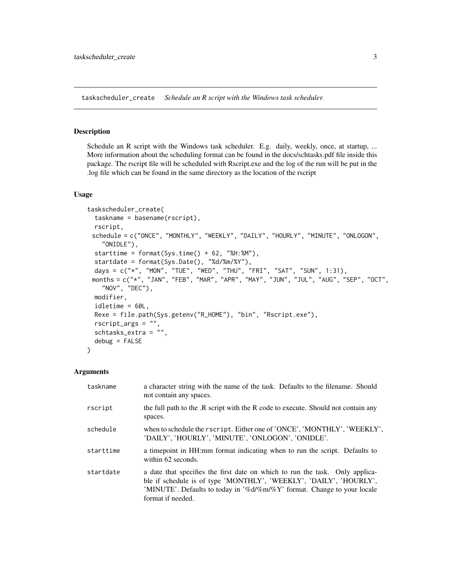<span id="page-2-1"></span><span id="page-2-0"></span>taskscheduler\_create *Schedule an R script with the Windows task scheduler.*

#### Description

Schedule an R script with the Windows task scheduler. E.g. daily, weekly, once, at startup, ... More information about the scheduling format can be found in the docs/schtasks.pdf file inside this package. The rscript file will be scheduled with Rscript.exe and the log of the run will be put in the .log file which can be found in the same directory as the location of the rscript

#### Usage

```
taskscheduler_create(
  taskname = basename(rscript),
  rscript,
 schedule = c("ONCE", "MONTHLY", "WEEKLY", "DAILY", "HOURLY", "MINUTE", "ONLOGON",
    "ONIDLE"),
  starttime = format(Sys.time() + 62, "%H:%M"),
  startdate = format(Sys.Date(), "%d/%m/%Y"),
  days = c("*", "MON", "TUE", "WED", "THU", "FRI", "SAT", "SUN", 1:31),
 months = c("*", "JAN", "FEB", "MAR", "APR", "MAY", "JUN", "JUL", "AUG", "SEP", "OCT",
    "NOV", "DEC"),
 modifier,
  idletime = 60L,
 Rexe = file.path(Sys.getenv("R_HOME"), "bin", "Rscript.exe"),
  rscript_args = ",
  schtasks_extra = "",
  debug = FALSE)
```
#### Arguments

| taskname  | a character string with the name of the task. Defaults to the filename. Should<br>not contain any spaces.                                                                                                                                          |
|-----------|----------------------------------------------------------------------------------------------------------------------------------------------------------------------------------------------------------------------------------------------------|
| rscript   | the full path to the .R script with the R code to execute. Should not contain any<br>spaces.                                                                                                                                                       |
| schedule  | when to schedule the rscript. Either one of 'ONCE', 'MONTHLY', 'WEEKLY',<br>'DAILY', 'HOURLY', 'MINUTE', 'ONLOGON', 'ONIDLE'.                                                                                                                      |
| starttime | a timepoint in HH:mm format indicating when to run the script. Defaults to<br>within 62 seconds.                                                                                                                                                   |
| startdate | a date that specifies the first date on which to run the task. Only applica-<br>ble if schedule is of type 'MONTHLY', 'WEEKLY', 'DAILY', 'HOURLY',<br>'MINUTE'. Defaults to today in '%d/%m/%Y' format. Change to your locale<br>format if needed. |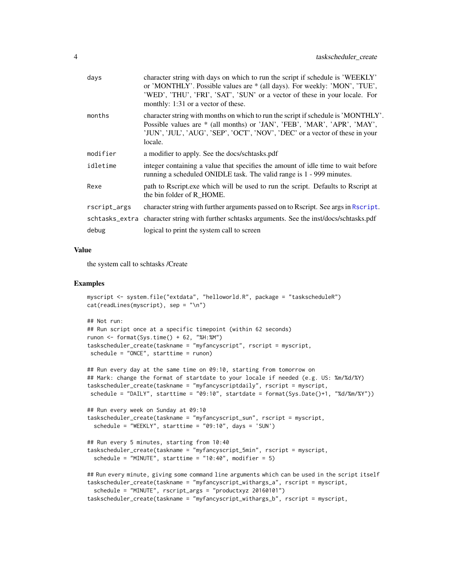<span id="page-3-0"></span>

| days         | character string with days on which to run the script if schedule is 'WEEKLY'<br>or 'MONTHLY'. Possible values are * (all days). For weekly: 'MON', 'TUE',<br>'WED', 'THU', 'FRI', 'SAT', 'SUN' or a vector of these in your locale. For<br>monthly: 1:31 or a vector of these. |
|--------------|---------------------------------------------------------------------------------------------------------------------------------------------------------------------------------------------------------------------------------------------------------------------------------|
| months       | character string with months on which to run the script if schedule is 'MONTHLY'.<br>Possible values are * (all months) or 'JAN', 'FEB', 'MAR', 'APR', 'MAY',<br>'JUN', 'JUL', 'AUG', 'SEP', 'OCT', 'NOV', 'DEC' or a vector of these in your<br>locale.                        |
| modifier     | a modifier to apply. See the docs/schtasks.pdf                                                                                                                                                                                                                                  |
| idletime     | integer containing a value that specifies the amount of idle time to wait before<br>running a scheduled ONIDLE task. The valid range is 1 - 999 minutes.                                                                                                                        |
| Rexe         | path to Rscript.exe which will be used to run the script. Defaults to Rscript at<br>the bin folder of R HOME.                                                                                                                                                                   |
| rscript_args | character string with further arguments passed on to Rscript. See args in Rscript.                                                                                                                                                                                              |
|              | schtasks_extra character string with further schtasks arguments. See the inst/docs/schtasks.pdf                                                                                                                                                                                 |
| debug        | logical to print the system call to screen                                                                                                                                                                                                                                      |
|              |                                                                                                                                                                                                                                                                                 |

#### Value

the system call to schtasks /Create

#### Examples

```
myscript <- system.file("extdata", "helloworld.R", package = "taskscheduleR")
cat(readLines(myscript), sep = "n")
```

```
## Not run:
## Run script once at a specific timepoint (within 62 seconds)
runon <- format(Sys.time() + 62, "%H:%M")
taskscheduler_create(taskname = "myfancyscript", rscript = myscript,
schedule = "ONCE", starttime = runon)
```

```
## Run every day at the same time on 09:10, starting from tomorrow on
## Mark: change the format of startdate to your locale if needed (e.g. US: %m/%d/%Y)
taskscheduler_create(taskname = "myfancyscriptdaily", rscript = myscript,
schedule = "DAILY", starttime = "09:10", startdate = format(Sys.Date()+1, "%d/%m/%Y"))
```

```
## Run every week on Sunday at 09:10
taskscheduler_create(taskname = "myfancyscript_sun", rscript = myscript,
 schedule = "WEEKLY", starttime = "09:10", days = 'SUN')
```

```
## Run every 5 minutes, starting from 10:40
taskscheduler_create(taskname = "myfancyscript_5min", rscript = myscript,
 schedule = "MINUTE", starttime = "10:40", modifier = 5)
```

```
## Run every minute, giving some command line arguments which can be used in the script itself
taskscheduler_create(taskname = "myfancyscript_withargs_a", rscript = myscript,
 schedule = "MINUTE", rscript_args = "productxyz 20160101")
taskscheduler_create(taskname = "myfancyscript_withargs_b", rscript = myscript,
```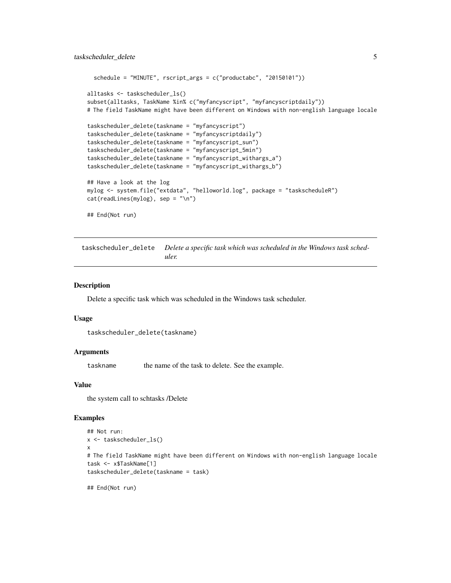```
schedule = "MINUTE", rscript_args = c("productabc", "20150101"))
alltasks <- taskscheduler_ls()
subset(alltasks, TaskName %in% c("myfancyscript", "myfancyscriptdaily"))
# The field TaskName might have been different on Windows with non-english language locale
taskscheduler_delete(taskname = "myfancyscript")
taskscheduler_delete(taskname = "myfancyscriptdaily")
taskscheduler_delete(taskname = "myfancyscript_sun")
taskscheduler_delete(taskname = "myfancyscript_5min")
taskscheduler_delete(taskname = "myfancyscript_withargs_a")
taskscheduler_delete(taskname = "myfancyscript_withargs_b")
## Have a look at the log
mylog <- system.file("extdata", "helloworld.log", package = "taskscheduleR")
cat(readLines(mylog), sep = "\n")
## End(Not run)
```
taskscheduler\_delete *Delete a specific task which was scheduled in the Windows task scheduler.*

#### Description

Delete a specific task which was scheduled in the Windows task scheduler.

#### Usage

```
taskscheduler_delete(taskname)
```
#### Arguments

taskname the name of the task to delete. See the example.

#### Value

the system call to schtasks /Delete

#### Examples

```
## Not run:
x <- taskscheduler_ls()
x
# The field TaskName might have been different on Windows with non-english language locale
task <- x$TaskName[1]
taskscheduler_delete(taskname = task)
```

```
## End(Not run)
```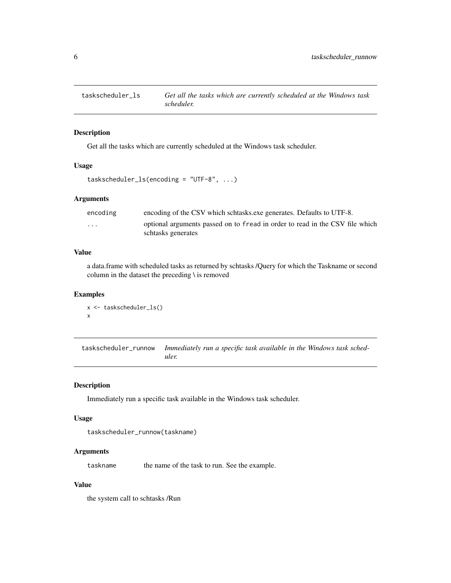<span id="page-5-0"></span>

#### Description

Get all the tasks which are currently scheduled at the Windows task scheduler.

#### Usage

```
taskscheduler_ls(encoding = "UTF-8", ...)
```
#### Arguments

| encoding | encoding of the CSV which schtasks exercises. Defaults to UTF-8.                                   |
|----------|----------------------------------------------------------------------------------------------------|
| $\cdots$ | optional arguments passed on to fread in order to read in the CSV file which<br>schtasks generates |

#### Value

a data.frame with scheduled tasks as returned by schtasks /Query for which the Taskname or second column in the dataset the preceding \ is removed

#### Examples

```
x <- taskscheduler_ls()
x
```
taskscheduler\_runnow *Immediately run a specific task available in the Windows task scheduler.*

#### Description

Immediately run a specific task available in the Windows task scheduler.

#### Usage

```
taskscheduler_runnow(taskname)
```
#### Arguments

taskname the name of the task to run. See the example.

#### Value

the system call to schtasks /Run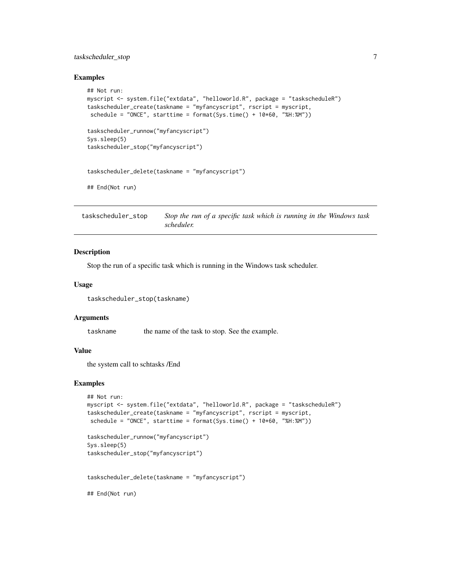#### <span id="page-6-0"></span>taskscheduler\_stop 7

#### Examples

```
## Not run:
myscript <- system.file("extdata", "helloworld.R", package = "taskscheduleR")
taskscheduler_create(taskname = "myfancyscript", rscript = myscript,
schedule = "ONCE", starttime = format(Sys.time() + 10*60, "%H:%M"))
taskscheduler_runnow("myfancyscript")
Sys.sleep(5)
taskscheduler_stop("myfancyscript")
taskscheduler_delete(taskname = "myfancyscript")
## End(Not run)
```
taskscheduler\_stop *Stop the run of a specific task which is running in the Windows task scheduler.*

#### Description

Stop the run of a specific task which is running in the Windows task scheduler.

#### Usage

taskscheduler\_stop(taskname)

#### Arguments

taskname the name of the task to stop. See the example.

#### Value

the system call to schtasks /End

#### Examples

```
## Not run:
myscript <- system.file("extdata", "helloworld.R", package = "taskscheduleR")
taskscheduler_create(taskname = "myfancyscript", rscript = myscript,
schedule = "ONCE", starttime = format(Sys.time() + 10*60, "%H:%M"))
```

```
taskscheduler_runnow("myfancyscript")
Sys.sleep(5)
taskscheduler_stop("myfancyscript")
```
taskscheduler\_delete(taskname = "myfancyscript")

## End(Not run)